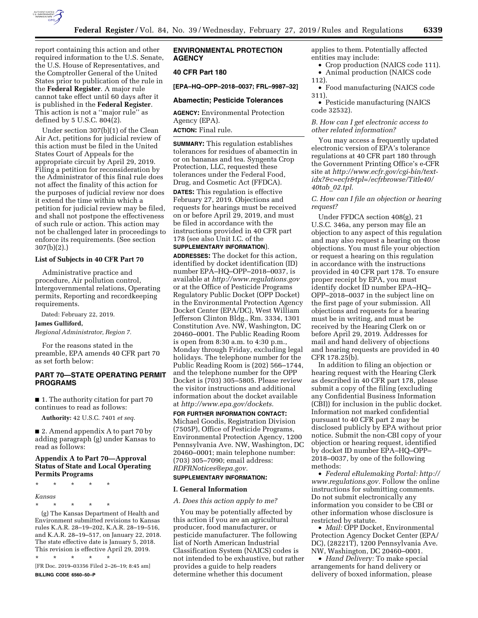

report containing this action and other required information to the U.S. Senate, the U.S. House of Representatives, and the Comptroller General of the United States prior to publication of the rule in the **Federal Register**. A major rule cannot take effect until 60 days after it is published in the **Federal Register**. This action is not a ''major rule'' as defined by 5 U.S.C. 804(2).

Under section 307(b)(1) of the Clean Air Act, petitions for judicial review of this action must be filed in the United States Court of Appeals for the appropriate circuit by April 29, 2019. Filing a petition for reconsideration by the Administrator of this final rule does not affect the finality of this action for the purposes of judicial review nor does it extend the time within which a petition for judicial review may be filed, and shall not postpone the effectiveness of such rule or action. This action may not be challenged later in proceedings to enforce its requirements. (See section 307(b)(2).)

## **List of Subjects in 40 CFR Part 70**

Administrative practice and procedure, Air pollution control, Intergovernmental relations, Operating permits, Reporting and recordkeeping requirements.

Dated: February 22, 2019.

#### **James Gulliford,**

*Regional Administrator, Region 7.* 

For the reasons stated in the preamble, EPA amends 40 CFR part 70 as set forth below:

# **PART 70—STATE OPERATING PERMIT PROGRAMS**

■ 1. The authority citation for part 70 continues to read as follows:

**Authority:** 42 U.S.C. 7401 *et seq.* 

■ 2. Amend appendix A to part 70 by adding paragraph (g) under Kansas to read as follows:

# **Appendix A to Part 70—Approval Status of State and Local Operating Permits Programs**

\* \* \* \* \*

### *Kansas*

\* \* \* \* \*

(g) The Kansas Department of Health and Environment submitted revisions to Kansas rules K.A.R. 28–19–202, K.A.R. 28–19–516, and K.A.R. 28–19–517, on January 22, 2018. The state effective date is January 5, 2018. This revision is effective April 29, 2019.

\* \* \* \* \* [FR Doc. 2019–03356 Filed 2–26–19; 8:45 am]

**BILLING CODE 6560–50–P** 

# **ENVIRONMENTAL PROTECTION AGENCY**

# **40 CFR Part 180**

**[EPA–HQ–OPP–2018–0037; FRL–9987–32]** 

### **Abamectin; Pesticide Tolerances**

**AGENCY:** Environmental Protection Agency (EPA).

**ACTION:** Final rule.

**SUMMARY:** This regulation establishes tolerances for residues of abamectin in or on bananas and tea. Syngenta Crop Protection, LLC, requested these tolerances under the Federal Food, Drug, and Cosmetic Act (FFDCA).

**DATES:** This regulation is effective February 27, 2019. Objections and requests for hearings must be received on or before April 29, 2019, and must be filed in accordance with the instructions provided in 40 CFR part 178 (see also Unit I.C. of the **SUPPLEMENTARY INFORMATION**).

**ADDRESSES:** The docket for this action, identified by docket identification (ID) number EPA–HQ–OPP–2018–0037, is available at *<http://www.regulations.gov>* or at the Office of Pesticide Programs Regulatory Public Docket (OPP Docket) in the Environmental Protection Agency Docket Center (EPA/DC), West William Jefferson Clinton Bldg., Rm. 3334, 1301 Constitution Ave. NW, Washington, DC 20460–0001. The Public Reading Room is open from 8:30 a.m. to 4:30 p.m., Monday through Friday, excluding legal holidays. The telephone number for the Public Reading Room is (202) 566–1744, and the telephone number for the OPP Docket is (703) 305–5805. Please review the visitor instructions and additional information about the docket available at *[http://www.epa.gov/dockets.](http://www.epa.gov/dockets)* 

# **FOR FURTHER INFORMATION CONTACT:**

Michael Goodis, Registration Division (7505P), Office of Pesticide Programs, Environmental Protection Agency, 1200 Pennsylvania Ave. NW, Washington, DC 20460–0001; main telephone number: (703) 305–7090; email address: *[RDFRNotices@epa.gov.](mailto:RDFRNotices@epa.gov)* 

## **SUPPLEMENTARY INFORMATION:**

#### **I. General Information**

### *A. Does this action apply to me?*

You may be potentially affected by this action if you are an agricultural producer, food manufacturer, or pesticide manufacturer. The following list of North American Industrial Classification System (NAICS) codes is not intended to be exhaustive, but rather provides a guide to help readers determine whether this document

applies to them. Potentially affected entities may include:

• Crop production (NAICS code 111). • Animal production (NAICS code

112).

• Food manufacturing (NAICS code 311).

• Pesticide manufacturing (NAICS code 32532).

*B. How can I get electronic access to other related information?* 

You may access a frequently updated electronic version of EPA's tolerance regulations at 40 CFR part 180 through the Government Printing Office's e-CFR site at *[http://www.ecfr.gov/cgi-bin/text](http://www.ecfr.gov/cgi-bin/text-idx?&c=ecfr&tpl=/ecfrbrowse/Title40/40tab_02.tp)[idx?&c=ecfr&tpl=/ecfrbrowse/Title40/](http://www.ecfr.gov/cgi-bin/text-idx?&c=ecfr&tpl=/ecfrbrowse/Title40/40tab_02.tp)  40tab*\_*[02.tpl.](http://www.ecfr.gov/cgi-bin/text-idx?&c=ecfr&tpl=/ecfrbrowse/Title40/40tab_02.tp)* 

*C. How can I file an objection or hearing request?* 

Under FFDCA section 408(g), 21 U.S.C. 346a, any person may file an objection to any aspect of this regulation and may also request a hearing on those objections. You must file your objection or request a hearing on this regulation in accordance with the instructions provided in 40 CFR part 178. To ensure proper receipt by EPA, you must identify docket ID number EPA–HQ– OPP–2018–0037 in the subject line on the first page of your submission. All objections and requests for a hearing must be in writing, and must be received by the Hearing Clerk on or before April 29, 2019. Addresses for mail and hand delivery of objections and hearing requests are provided in 40 CFR 178.25(b).

In addition to filing an objection or hearing request with the Hearing Clerk as described in 40 CFR part 178, please submit a copy of the filing (excluding any Confidential Business Information (CBI)) for inclusion in the public docket. Information not marked confidential pursuant to 40 CFR part 2 may be disclosed publicly by EPA without prior notice. Submit the non-CBI copy of your objection or hearing request, identified by docket ID number EPA–HQ–OPP– 2018–0037, by one of the following methods:

• *Federal eRulemaking Portal: [http://](http://www.regulations.gov)  [www.regulations.gov.](http://www.regulations.gov)* Follow the online instructions for submitting comments. Do not submit electronically any information you consider to be CBI or other information whose disclosure is restricted by statute.

• *Mail:* OPP Docket, Environmental Protection Agency Docket Center (EPA/ DC), (28221T), 1200 Pennsylvania Ave. NW, Washington, DC 20460–0001.

• *Hand Delivery:* To make special arrangements for hand delivery or delivery of boxed information, please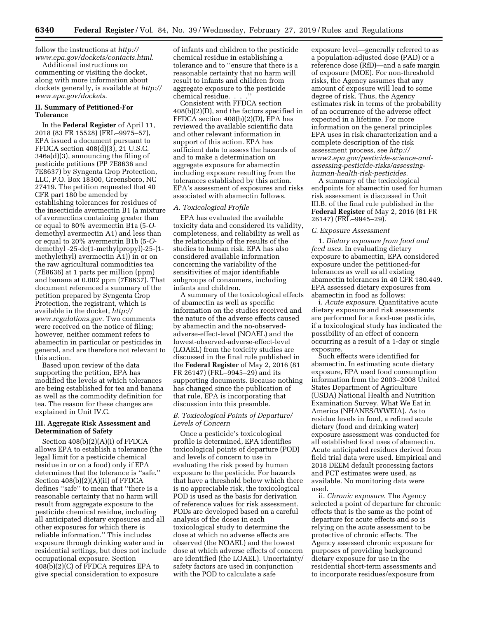follow the instructions at *[http://](http://www.epa.gov/dockets/contacts.html) [www.epa.gov/dockets/contacts.html.](http://www.epa.gov/dockets/contacts.html)* 

Additional instructions on commenting or visiting the docket, along with more information about dockets generally, is available at *[http://](http://www.epa.gov/dockets) [www.epa.gov/dockets.](http://www.epa.gov/dockets)* 

# **II. Summary of Petitioned-For Tolerance**

In the **Federal Register** of April 11, 2018 (83 FR 15528) (FRL–9975–57), EPA issued a document pursuant to FFDCA section 408(d)(3), 21 U.S.C. 346a(d)(3), announcing the filing of pesticide petitions (PP 7E8636 and 7E8637) by Syngenta Crop Protection, LLC, P.O. Box 18300, Greensboro, NC 27419. The petition requested that 40 CFR part 180 be amended by establishing tolerances for residues of the insecticide avermectin B1 (a mixture of avermectins containing greater than or equal to 80% avermectin B1a (5-*O*demethyl avermectin A1) and less than or equal to 20% avermectin B1b (5-*O*demethyl -25-de(1-methylpropyl)-25-(1 methylethyl) avermectin A1)) in or on the raw agricultural commodities tea (7E8636) at 1 parts per million (ppm) and banana at 0.002 ppm (7E8637). That document referenced a summary of the petition prepared by Syngenta Crop Protection, the registrant, which is available in the docket, *[http://](http://www.regulations.gov) [www.regulations.gov.](http://www.regulations.gov)* Two comments were received on the notice of filing; however, neither comment refers to abamectin in particular or pesticides in general, and are therefore not relevant to this action.

Based upon review of the data supporting the petition, EPA has modified the levels at which tolerances are being established for tea and banana as well as the commodity definition for tea. The reason for these changes are explained in Unit IV.C.

## **III. Aggregate Risk Assessment and Determination of Safety**

Section 408(b)(2)(A)(i) of FFDCA allows EPA to establish a tolerance (the legal limit for a pesticide chemical residue in or on a food) only if EPA determines that the tolerance is ''safe.'' Section 408(b)(2)(A)(ii) of FFDCA defines ''safe'' to mean that ''there is a reasonable certainty that no harm will result from aggregate exposure to the pesticide chemical residue, including all anticipated dietary exposures and all other exposures for which there is reliable information.'' This includes exposure through drinking water and in residential settings, but does not include occupational exposure. Section 408(b)(2)(C) of FFDCA requires EPA to give special consideration to exposure

of infants and children to the pesticide chemical residue in establishing a tolerance and to ''ensure that there is a reasonable certainty that no harm will result to infants and children from aggregate exposure to the pesticide chemical residue. . . .''

Consistent with FFDCA section 408(b)(2)(D), and the factors specified in FFDCA section 408(b)(2)(D), EPA has reviewed the available scientific data and other relevant information in support of this action. EPA has sufficient data to assess the hazards of and to make a determination on aggregate exposure for abamectin including exposure resulting from the tolerances established by this action. EPA's assessment of exposures and risks associated with abamectin follows.

## *A. Toxicological Profile*

EPA has evaluated the available toxicity data and considered its validity, completeness, and reliability as well as the relationship of the results of the studies to human risk. EPA has also considered available information concerning the variability of the sensitivities of major identifiable subgroups of consumers, including infants and children.

A summary of the toxicological effects of abamectin as well as specific information on the studies received and the nature of the adverse effects caused by abamectin and the no-observedadverse-effect-level (NOAEL) and the lowest-observed-adverse-effect-level (LOAEL) from the toxicity studies are discussed in the final rule published in the **Federal Register** of May 2, 2016 (81 FR 26147) (FRL–9945–29) and its supporting documents. Because nothing has changed since the publication of that rule, EPA is incorporating that discussion into this preamble.

## *B. Toxicological Points of Departure/ Levels of Concern*

Once a pesticide's toxicological profile is determined, EPA identifies toxicological points of departure (POD) and levels of concern to use in evaluating the risk posed by human exposure to the pesticide. For hazards that have a threshold below which there is no appreciable risk, the toxicological POD is used as the basis for derivation of reference values for risk assessment. PODs are developed based on a careful analysis of the doses in each toxicological study to determine the dose at which no adverse effects are observed (the NOAEL) and the lowest dose at which adverse effects of concern are identified (the LOAEL). Uncertainty/ safety factors are used in conjunction with the POD to calculate a safe

exposure level—generally referred to as a population-adjusted dose (PAD) or a reference dose (RfD)—and a safe margin of exposure (MOE). For non-threshold risks, the Agency assumes that any amount of exposure will lead to some degree of risk. Thus, the Agency estimates risk in terms of the probability of an occurrence of the adverse effect expected in a lifetime. For more information on the general principles EPA uses in risk characterization and a complete description of the risk assessment process, see *[http://](http://www2.epa.gov/pesticide-science-and-assessing-pesticide-risks/assessing-human-health-risk-pesticides) [www2.epa.gov/pesticide-science-and](http://www2.epa.gov/pesticide-science-and-assessing-pesticide-risks/assessing-human-health-risk-pesticides)[assessing-pesticide-risks/assessing](http://www2.epa.gov/pesticide-science-and-assessing-pesticide-risks/assessing-human-health-risk-pesticides)[human-health-risk-pesticides.](http://www2.epa.gov/pesticide-science-and-assessing-pesticide-risks/assessing-human-health-risk-pesticides)* 

A summary of the toxicological endpoints for abamectin used for human risk assessment is discussed in Unit III.B. of the final rule published in the **Federal Register** of May 2, 2016 (81 FR 26147) (FRL–9945–29).

# *C. Exposure Assessment*

1. *Dietary exposure from food and feed uses.* In evaluating dietary exposure to abamectin, EPA considered exposure under the petitioned-for tolerances as well as all existing abamectin tolerances in 40 CFR 180.449. EPA assessed dietary exposures from abamectin in food as follows:

i. *Acute exposure.* Quantitative acute dietary exposure and risk assessments are performed for a food-use pesticide, if a toxicological study has indicated the possibility of an effect of concern occurring as a result of a 1-day or single exposure.

Such effects were identified for abamectin. In estimating acute dietary exposure, EPA used food consumption information from the 2003–2008 United States Department of Agriculture (USDA) National Health and Nutrition Examination Survey, What We Eat in America (NHANES/WWEIA). As to residue levels in food, a refined acute dietary (food and drinking water) exposure assessment was conducted for all established food uses of abamectin. Acute anticipated residues derived from field trial data were used. Empirical and 2018 DEEM default processing factors and PCT estimates were used, as available. No monitoring data were used.

ii. *Chronic exposure.* The Agency selected a point of departure for chronic effects that is the same as the point of departure for acute effects and so is relying on the acute assessment to be protective of chronic effects. The Agency assessed chronic exposure for purposes of providing background dietary exposure for use in the residential short-term assessments and to incorporate residues/exposure from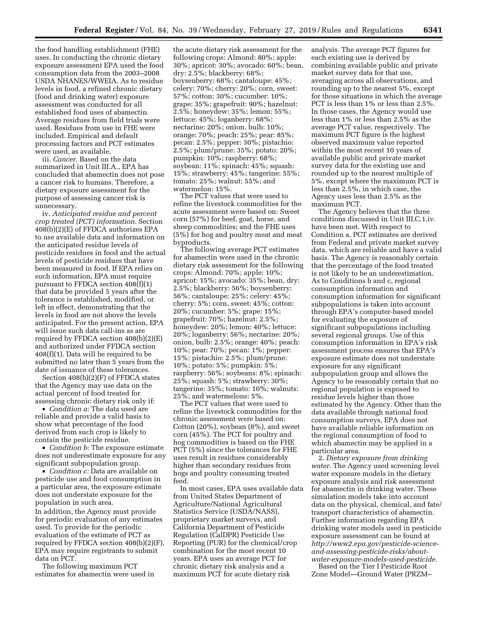the food handling establishment (FHE) uses. In conducting the chronic dietary exposure assessment EPA used the food consumption data from the 2003–2008 USDA NHANES/WWEIA. As to residue levels in food, a refined chronic dietary (food and drinking water) exposure assessment was conducted for all established food uses of abamectin. Average residues from field trials were used. Residues from use in FHE were included. Empirical and default processing factors and PCT estimates were used, as available.

iii. *Cancer.* Based on the data summarized in Unit III.A., EPA has concluded that abamectin does not pose a cancer risk to humans. Therefore, a dietary exposure assessment for the purpose of assessing cancer risk is unnecessary.

iv. *Anticipated residue and percent crop treated (PCT) information.* Section 408(b)(2)(E) of FFDCA authorizes EPA to use available data and information on the anticipated residue levels of pesticide residues in food and the actual levels of pesticide residues that have been measured in food. If EPA relies on such information, EPA must require pursuant to FFDCA section 408(f)(1) that data be provided 5 years after the tolerance is established, modified, or left in effect, demonstrating that the levels in food are not above the levels anticipated. For the present action, EPA will issue such data call-ins as are required by FFDCA section 408(b)(2)(E) and authorized under FFDCA section 408(f)(1). Data will be required to be submitted no later than 5 years from the date of issuance of these tolerances.

Section 408(b)(2)(F) of FFDCA states that the Agency may use data on the actual percent of food treated for assessing chronic dietary risk only if:

• *Condition a:* The data used are reliable and provide a valid basis to show what percentage of the food derived from such crop is likely to contain the pesticide residue.

• *Condition b:* The exposure estimate does not underestimate exposure for any significant subpopulation group.

• *Condition c:* Data are available on pesticide use and food consumption in a particular area, the exposure estimate does not understate exposure for the population in such area. In addition, the Agency must provide for periodic evaluation of any estimates

used. To provide for the periodic evaluation of the estimate of PCT as required by FFDCA section 408(b)(2)(F), EPA may require registrants to submit data on PCT.

The following maximum PCT estimates for abamectin were used in

the acute dietary risk assessment for the following crops: Almond: 80%; apple: 30%; apricot: 30%; avocado: 60%; bean, dry: 2.5%; blackberry: 68%; boysenberry: 68%; cantaloupe: 45%; celery: 70%; cherry: 20%; corn, sweet: 57%; cotton: 30%; cucumber: 10%; grape: 35%; grapefruit: 90%; hazelnut: 2.5%; honeydew: 35%; lemon: 55%; lettuce: 45%; loganberry: 68%; nectarine: 20%; onion, bulb: 10%; orange: 70%; peach: 25%; pear: 85%; pecan: 2.5%; pepper: 30%; pistachio: 2.5%; plum/prune: 35%; potato: 20%; pumpkin: 10%; raspberry: 68%; soybean: 11%; spinach: 45%; squash: 15%; strawberry: 45%; tangerine: 55%; tomato: 25%; walnut: 55%; and watermelon: 15%.

The PCT values that were used to refine the livestock commodities for the acute assessment were based on: Sweet corn (57%) for beef, goat, horse, and sheep commodities; and the FHE uses (5%) for hog and poultry meat and meat byproducts.

The following average PCT estimates for abamectin were used in the chronic dietary risk assessment for the following crops: Almond: 70%; apple: 10%; apricot: 15%; avocado: 35%; bean, dry: 2.5%; blackberry: 56%; boysenberry: 56%; cantaloupe: 25%; celery: 45%; cherry: 5%; corn, sweet: 45%; cotton: 20%; cucumber: 5%; grape: 15%; grapefruit: 70%; hazelnut: 2.5%; honeydew: 20%; lemon: 40%; lettuce: 20%; loganberry: 56%; nectarine: 20%; onion, bulb: 2.5%; orange: 40%; peach: 10%; pear: 70%; pecan: 1%; pepper: 15%; pistachio: 2.5%; plum/prune: 10%; potato: 5%; pumpkin: 5%; raspberry: 56%; soybeans: 8%; spinach: 25%; squash: 5%; strawberry: 30%; tangerine: 35%; tomato: 10%; walnuts: 25%; and watermelons: 5%.

The PCT values that were used to refine the livestock commodities for the chronic assessment were based on: Cotton (20%), soybean (8%), and sweet corn (45%). The PCT for poultry and hog commodities is based on the FHE PCT (5%) since the tolerances for FHE uses result in residues considerably higher than secondary residues from hogs and poultry consuming treated feed.

In most cases, EPA uses available data from United States Department of Agriculture/National Agricultural Statistics Service (USDA/NASS), proprietary market surveys, and California Department of Pesticide Regulation (CalDPR) Pesticide Use Reporting (PUR) for the chemical/crop combination for the most recent 10 years. EPA uses an average PCT for chronic dietary risk analysis and a maximum PCT for acute dietary risk

analysis. The average PCT figures for each existing use is derived by combining available public and private market survey data for that use, averaging across all observations, and rounding up to the nearest 5%, except for those situations in which the average PCT is less than 1% or less than 2.5%. In those cases, the Agency would use less than 1% or less than 2.5% as the average PCT value, respectively. The maximum PCT figure is the highest observed maximum value reported within the most recent 10 years of available public and private market survey data for the existing use and rounded up to the nearest multiple of 5%, except where the maximum PCT is less than 2.5%, in which case, the Agency uses less than 2.5% as the maximum PCT.

The Agency believes that the three conditions discussed in Unit III.C.1.iv. have been met. With respect to Condition a, PCT estimates are derived from Federal and private market survey data, which are reliable and have a valid basis. The Agency is reasonably certain that the percentage of the food treated is not likely to be an underestimation. As to Conditions b and c, regional consumption information and consumption information for significant subpopulations is taken into account through EPA's computer-based model for evaluating the exposure of significant subpopulations including several regional groups. Use of this consumption information in EPA's risk assessment process ensures that EPA's exposure estimate does not understate exposure for any significant subpopulation group and allows the Agency to be reasonably certain that no regional population is exposed to residue levels higher than those estimated by the Agency. Other than the data available through national food consumption surveys, EPA does not have available reliable information on the regional consumption of food to which abamectin may be applied in a particular area.

2. *Dietary exposure from drinking water.* The Agency used screening level water exposure models in the dietary exposure analysis and risk assessment for abamectin in drinking water. These simulation models take into account data on the physical, chemical, and fate/ transport characteristics of abamectin. Further information regarding EPA drinking water models used in pesticide exposure assessment can be found at *[http://www2.epa.gov/pesticide-science](http://www2.epa.gov/pesticide-science-and-assessing-pesticide-risks/about-water-exposure-models-used-pesticide)[and-assessing-pesticide-risks/about](http://www2.epa.gov/pesticide-science-and-assessing-pesticide-risks/about-water-exposure-models-used-pesticide)[water-exposure-models-used-pesticide.](http://www2.epa.gov/pesticide-science-and-assessing-pesticide-risks/about-water-exposure-models-used-pesticide)* 

Based on the Tier I Pesticide Root Zone Model—Ground Water (PRZM–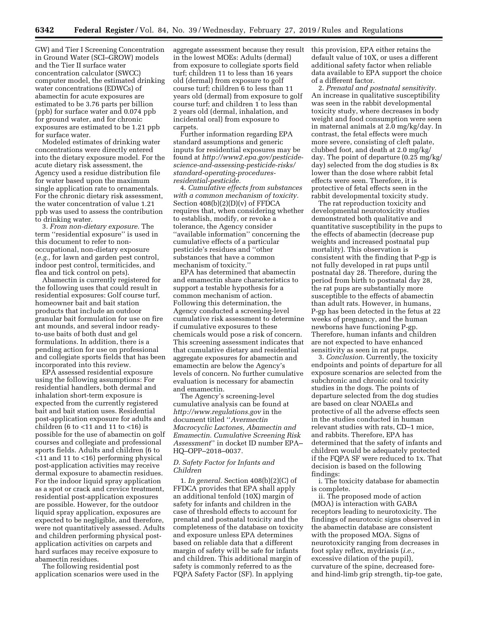GW) and Tier I Screening Concentration in Ground Water (SCI–GROW) models and the Tier II surface water concentration calculator (SWCC) computer model, the estimated drinking water concentrations (EDWCs) of abamectin for acute exposures are estimated to be 3.76 parts per billion (ppb) for surface water and 0.074 ppb for ground water, and for chronic exposures are estimated to be 1.21 ppb for surface water.

Modeled estimates of drinking water concentrations were directly entered into the dietary exposure model. For the acute dietary risk assessment, the Agency used a residue distribution file for water based upon the maximum single application rate to ornamentals. For the chronic dietary risk assessment, the water concentration of value 1.21 ppb was used to assess the contribution to drinking water.

3. *From non-dietary exposure.* The term ''residential exposure'' is used in this document to refer to nonoccupational, non-dietary exposure (*e.g.,* for lawn and garden pest control, indoor pest control, termiticides, and flea and tick control on pets).

Abamectin is currently registered for the following uses that could result in residential exposures: Golf course turf, homeowner bait and bait station products that include an outdoor granular bait formulation for use on fire ant mounds, and several indoor readyto-use baits of both dust and gel formulations. In addition, there is a pending action for use on professional and collegiate sports fields that has been incorporated into this review.

EPA assessed residential exposure using the following assumptions: For residential handlers, both dermal and inhalation short-term exposure is expected from the currently registered bait and bait station uses. Residential post-application exposure for adults and children (6 to  $<$ 11 and 11 to  $<$ 16) is possible for the use of abamectin on golf courses and collegiate and professional sports fields. Adults and children (6 to <11 and 11 to <16) performing physical post-application activities may receive dermal exposure to abamectin residues. For the indoor liquid spray application as a spot or crack and crevice treatment, residential post-application exposures are possible. However, for the outdoor liquid spray application, exposures are expected to be negligible, and therefore, were not quantitatively assessed. Adults and children performing physical postapplication activities on carpets and hard surfaces may receive exposure to abamectin residues.

The following residential post application scenarios were used in the aggregate assessment because they result in the lowest MOEs: Adults (dermal) from exposure to collegiate sports field turf; children 11 to less than 16 years old (dermal) from exposure to golf course turf; children 6 to less than 11 years old (dermal) from exposure to golf course turf; and children 1 to less than 2 years old (dermal, inhalation, and incidental oral) from exposure to carpets.

Further information regarding EPA standard assumptions and generic inputs for residential exposures may be found at *[http://www2.epa.gov/pesticide](http://www2.epa.gov/pesticide-science-and-assessing-pesticide-risks/standard-operating-procedures-residential-pesticide)[science-and-assessing-pesticide-risks/](http://www2.epa.gov/pesticide-science-and-assessing-pesticide-risks/standard-operating-procedures-residential-pesticide)  standard-operating-procedures[residential-pesticide.](http://www2.epa.gov/pesticide-science-and-assessing-pesticide-risks/standard-operating-procedures-residential-pesticide)* 

4. *Cumulative effects from substances with a common mechanism of toxicity.*  Section 408(b)(2)(D)(v) of FFDCA requires that, when considering whether to establish, modify, or revoke a tolerance, the Agency consider ''available information'' concerning the cumulative effects of a particular pesticide's residues and ''other substances that have a common mechanism of toxicity.''

EPA has determined that abamectin and emamectin share characteristics to support a testable hypothesis for a common mechanism of action. Following this determination, the Agency conducted a screening-level cumulative risk assessment to determine if cumulative exposures to these chemicals would pose a risk of concern. This screening assessment indicates that that cumulative dietary and residential aggregate exposures for abamectin and emamectin are below the Agency's levels of concern. No further cumulative evaluation is necessary for abamectin and emamectin.

The Agency's screening-level cumulative analysis can be found at *<http://www.regulations.gov>* in the document titled ''*Avermectin Macrocyclic Lactones, Abamectin and Emamectin. Cumulative Screening Risk Assessment*'' in docket ID number EPA– HQ–OPP–2018–0037.

## *D. Safety Factor for Infants and Children*

1. *In general.* Section 408(b)(2)(C) of FFDCA provides that EPA shall apply an additional tenfold (10X) margin of safety for infants and children in the case of threshold effects to account for prenatal and postnatal toxicity and the completeness of the database on toxicity and exposure unless EPA determines based on reliable data that a different margin of safety will be safe for infants and children. This additional margin of safety is commonly referred to as the FQPA Safety Factor (SF). In applying

this provision, EPA either retains the default value of 10X, or uses a different additional safety factor when reliable data available to EPA support the choice of a different factor.

2. *Prenatal and postnatal sensitivity.*  An increase in qualitative susceptibility was seen in the rabbit developmental toxicity study, where decreases in body weight and food consumption were seen in maternal animals at 2.0 mg/kg/day. In contrast, the fetal effects were much more severe, consisting of cleft palate, clubbed foot, and death at 2.0 mg/kg/ day. The point of departure (0.25 mg/kg/ day) selected from the dog studies is 8x lower than the dose where rabbit fetal effects were seen. Therefore, it is protective of fetal effects seen in the rabbit developmental toxicity study.

The rat reproduction toxicity and developmental neurotoxicity studies demonstrated both qualitative and quantitative susceptibility in the pups to the effects of abamectin (decrease pup weights and increased postnatal pup mortality). This observation is consistent with the finding that P-gp is not fully developed in rat pups until postnatal day 28. Therefore, during the period from birth to postnatal day 28, the rat pups are substantially more susceptible to the effects of abamectin than adult rats. However, in humans, P-gp has been detected in the fetus at 22 weeks of pregnancy, and the human newborns have functioning P-gp. Therefore, human infants and children are not expected to have enhanced sensitivity as seen in rat pups.

3. *Conclusion.* Currently, the toxicity endpoints and points of departure for all exposure scenarios are selected from the subchronic and chronic oral toxicity studies in the dogs. The points of departure selected from the dog studies are based on clear NOAELs and protective of all the adverse effects seen in the studies conducted in human relevant studies with rats, CD–1 mice, and rabbits. Therefore, EPA has determined that the safety of infants and children would be adequately protected if the FQPA SF were reduced to 1x. That decision is based on the following findings:

i. The toxicity database for abamectin is complete.

ii. The proposed mode of action (MOA) is interaction with GABA receptors leading to neurotoxicity. The findings of neurotoxic signs observed in the abamectin database are consistent with the proposed MOA. Signs of neurotoxicity ranging from decreases in foot splay reflex, mydriasis (*i.e.,*  excessive dilation of the pupil), curvature of the spine, decreased foreand hind-limb grip strength, tip-toe gate,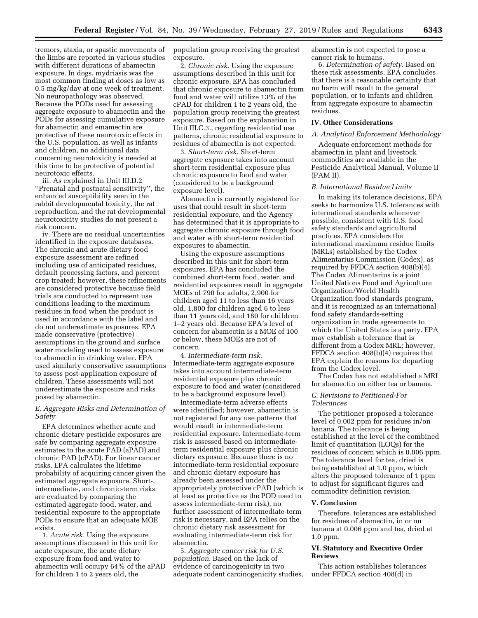tremors, ataxia, or spastic movements of the limbs are reported in various studies with different durations of abamectin exposure. In dogs, mydriasis was the most common finding at doses as low as 0.5 mg/kg/day at one week of treatment. No neuropathology was observed. Because the PODs used for assessing aggregate exposure to abamectin and the PODs for assessing cumulative exposure for abamectin and emamectin are protective of these neurotoxic effects in the U.S. population, as well as infants and children, no additional data concerning neurotoxicity is needed at this time to be protective of potential neurotoxic effects.

iii. As explained in Unit III.D.2 ''Prenatal and postnatal sensitivity'', the enhanced susceptibility seen in the rabbit developmental toxicity, the rat reproduction, and the rat developmental neurotoxicity studies do not present a risk concern.

iv. There are no residual uncertainties identified in the exposure databases. The chronic and acute dietary food exposure assessment are refined including use of anticipated residues, default processing factors, and percent crop treated; however, these refinements are considered protective because field trials are conducted to represent use conditions leading to the maximum residues in food when the product is used in accordance with the label and do not underestimate exposures. EPA made conservative (protective) assumptions in the ground and surface water modeling used to assess exposure to abamectin in drinking water. EPA used similarly conservative assumptions to assess post-application exposure of children. These assessments will not underestimate the exposure and risks posed by abamectin.

# *E. Aggregate Risks and Determination of Safety*

EPA determines whether acute and chronic dietary pesticide exposures are safe by comparing aggregate exposure estimates to the acute PAD (aPAD) and chronic PAD (cPAD). For linear cancer risks, EPA calculates the lifetime probability of acquiring cancer given the estimated aggregate exposure. Short-, intermediate-, and chronic-term risks are evaluated by comparing the estimated aggregate food, water, and residential exposure to the appropriate PODs to ensure that an adequate MOE exists.

1. *Acute risk.* Using the exposure assumptions discussed in this unit for acute exposure, the acute dietary exposure from food and water to abamectin will occupy 64% of the aPAD for children 1 to 2 years old, the

population group receiving the greatest exposure.

2. *Chronic risk.* Using the exposure assumptions described in this unit for chronic exposure, EPA has concluded that chronic exposure to abamectin from food and water will utilize 13% of the cPAD for children 1 to 2 years old, the population group receiving the greatest exposure. Based on the explanation in Unit III.C.3., regarding residential use patterns, chronic residential exposure to residues of abamectin is not expected.

3. *Short-term risk.* Short-term aggregate exposure takes into account short-term residential exposure plus chronic exposure to food and water (considered to be a background exposure level).

Abamectin is currently registered for uses that could result in short-term residential exposure, and the Agency has determined that it is appropriate to aggregate chronic exposure through food and water with short-term residential exposures to abamectin.

Using the exposure assumptions described in this unit for short-term exposures, EPA has concluded the combined short-term food, water, and residential exposures result in aggregate MOEs of 790 for adults, 2,900 for children aged 11 to less than 16 years old, 1,800 for children aged 6 to less than 11 years old, and 180 for children 1–2 years old. Because EPA's level of concern for abamectin is a MOE of 100 or below, these MOEs are not of concern.

4. *Intermediate-term risk.*  Intermediate-term aggregate exposure takes into account intermediate-term residential exposure plus chronic exposure to food and water (considered to be a background exposure level).

Intermediate-term adverse effects were identified; however, abamectin is not registered for any use patterns that would result in intermediate-term residential exposure. Intermediate-term risk is assessed based on intermediateterm residential exposure plus chronic dietary exposure. Because there is no intermediate-term residential exposure and chronic dietary exposure has already been assessed under the appropriately protective cPAD (which is at least as protective as the POD used to assess intermediate-term risk), no further assessment of intermediate-term risk is necessary, and EPA relies on the chronic dietary risk assessment for evaluating intermediate-term risk for abamectin.

5. *Aggregate cancer risk for U.S. population.* Based on the lack of evidence of carcinogenicity in two adequate rodent carcinogenicity studies, abamectin is not expected to pose a cancer risk to humans.

6. *Determination of safety.* Based on these risk assessments, EPA concludes that there is a reasonable certainty that no harm will result to the general population, or to infants and children from aggregate exposure to abamectin residues.

## **IV. Other Considerations**

## *A. Analytical Enforcement Methodology*

Adequate enforcement methods for abamectin in plant and livestock commodities are available in the Pesticide Analytical Manual, Volume II (PAM II).

#### *B. International Residue Limits*

In making its tolerance decisions, EPA seeks to harmonize U.S. tolerances with international standards whenever possible, consistent with U.S. food safety standards and agricultural practices. EPA considers the international maximum residue limits (MRLs) established by the Codex Alimentarius Commission (Codex), as required by FFDCA section 408(b)(4). The Codex Alimentarius is a joint United Nations Food and Agriculture Organization/World Health Organization food standards program, and it is recognized as an international food safety standards-setting organization in trade agreements to which the United States is a party. EPA may establish a tolerance that is different from a Codex MRL; however, FFDCA section 408(b)(4) requires that EPA explain the reasons for departing from the Codex level.

The Codex has not established a MRL for abamectin on either tea or banana.

## *C. Revisions to Petitioned-For Tolerances*

The petitioner proposed a tolerance level of 0.002 ppm for residues in/on banana. The tolerance is being established at the level of the combined limit of quantitation (LOQs) for the residues of concern which is 0.006 ppm. The tolerance level for tea, dried is being established at 1.0 ppm, which alters the proposed tolerance of 1 ppm to adjust for significant figures and commodity definition revision.

# **V. Conclusion**

Therefore, tolerances are established for residues of abamectin, in or on banana at 0.006 ppm and tea, dried at 1.0 ppm.

# **VI. Statutory and Executive Order Reviews**

This action establishes tolerances under FFDCA section 408(d) in